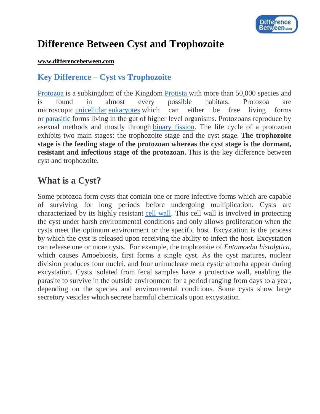

# **Difference Between Cyst and Trophozoite**

#### **[www.differencebetween.com](http://www.differencebetween.com/)**

### **Key Difference – Cyst vs Trophozoite**

[Protozoa](http://www.differencebetween.com/difference-between-protozoa-and-vs-helminths/) is a subkingdom of the Kingdom [Protista](http://www.differencebetween.com/difference-between-monera-and-vs-protista/) with more than 50,000 species and is found in almost every possible habitats. Protozoa are microscopic [unicellular](http://www.differencebetween.com/difference-between-multicellular-and-vs-unicellular/) [eukaryotes](http://www.differencebetween.com/difference-between-bacteria-and-vs-eukaryotes/) which can either be free living forms or [parasitic](http://www.differencebetween.com/difference-between-parasite-and-vs-bacteria/) forms living in the gut of higher level organisms. Protozoans reproduce by asexual methods and mostly through [binary fission.](http://www.differencebetween.com/difference-between-binary-fission-and-vs-conjugation/#cd) The life cycle of a protozoan exhibits two main stages: the trophozoite stage and the cyst stage. **The trophozoite stage is the feeding stage of the protozoan whereas the cyst stage is the dormant, resistant and infectious stage of the protozoan.** This is the key difference between cyst and trophozoite.

### **What is a Cyst?**

Some protozoa form cysts that contain one or more infective forms which are capable of surviving for long periods before undergoing multiplication. Cysts are characterized by its highly resistant [cell wall.](http://www.differencebetween.com/difference-between-cell-wall-and-vs-plasma-membrane/) This cell wall is involved in protecting the cyst under harsh environmental conditions and only allows proliferation when the cysts meet the optimum environment or the specific host. Excystation is the process by which the cyst is released upon receiving the ability to infect the host. Excystation can release one or more cysts. For example, the trophozoite of *Entamoeba histolytica*, which causes Amoebiosis, first forms a single cyst. As the cyst matures, nuclear division produces four nuclei, and four uninucleate meta cystic amoeba appear during excystation. Cysts isolated from fecal samples have a protective wall, enabling the parasite to survive in the outside environment for a period ranging from days to a year, depending on the species and environmental conditions. Some cysts show large secretory vesicles which secrete harmful chemicals upon excystation.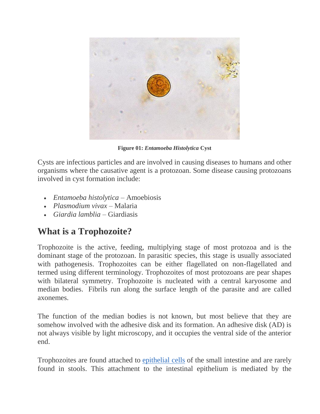

**Figure 01:** *Entamoeba Histolytica* **Cyst**

Cysts are infectious particles and are involved in causing diseases to humans and other organisms where the causative agent is a protozoan. Some disease causing protozoans involved in cyst formation include:

- *Entamoeba histolytica –* Amoebiosis
- *Plasmodium vivax –* Malaria
- *Giardia lamblia –* Giardiasis

# **What is a Trophozoite?**

Trophozoite is the active, feeding, multiplying stage of most protozoa and is the dominant stage of the protozoan. In parasitic species, this stage is usually associated with pathogenesis. Trophozoites can be either flagellated on non-flagellated and termed using different terminology. Trophozoites of most protozoans are pear shapes with bilateral symmetry. Trophozoite is nucleated with a central karyosome and median bodies. Fibrils run along the surface length of the parasite and are called axonemes.

The function of the median bodies is not known, but most believe that they are somehow involved with the adhesive disk and its formation. An adhesive disk (AD) is not always visible by light microscopy, and it occupies the ventral side of the anterior end.

Trophozoites are found attached to [epithelial cells](http://www.differencebetween.com/difference-between-epithelial-and-vs-mesenchymal-cells/#Epithelial Cells) of the small intestine and are rarely found in stools. This attachment to the intestinal epithelium is mediated by the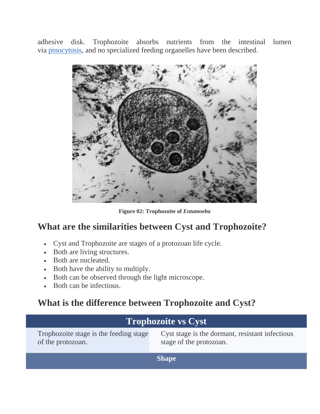adhesive disk. Trophozoite absorbs nutrients from the intestinal lumen via [pinocytosis,](http://www.differencebetween.com/difference-between-phagocytosis-and-vs-pinocytosis/) and no specialized feeding organelles have been described.



**Figure 02: Trophozoite of** *Entamoeba*

### **What are the similarities between Cyst and Trophozoite?**

- Cyst and Trophozoite are stages of a protozoan life cycle.
- Both are living structures.
- Both are nucleated.
- Both have the ability to multiply.
- Both can be observed through the light microscope.
- Both can be infectious.

### **What is the difference between Trophozoite and Cyst?**

| <b>Trophozoite vs Cyst</b>                                  |                                                                            |
|-------------------------------------------------------------|----------------------------------------------------------------------------|
| Trophozoite stage is the feeding stage<br>of the protozoan. | Cyst stage is the dormant, resistant infectious<br>stage of the protozoan. |
| <b>Shape</b>                                                |                                                                            |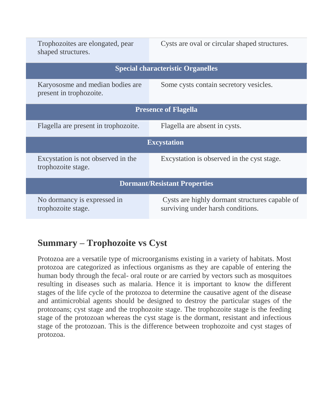| Trophozoites are elongated, pear<br>shaped structures.      | Cysts are oval or circular shaped structures.                                       |  |
|-------------------------------------------------------------|-------------------------------------------------------------------------------------|--|
| <b>Special characteristic Organelles</b>                    |                                                                                     |  |
| Karyososme and median bodies are<br>present in trophozoite. | Some cysts contain secretory vesicles.                                              |  |
| <b>Presence of Flagella</b>                                 |                                                                                     |  |
| Flagella are present in trophozoite.                        | Flagella are absent in cysts.                                                       |  |
| <b>Excystation</b>                                          |                                                                                     |  |
| Excystation is not observed in the<br>trophozoite stage.    | Excystation is observed in the cyst stage.                                          |  |
| <b>Dormant/Resistant Properties</b>                         |                                                                                     |  |
| No dormancy is expressed in<br>trophozoite stage.           | Cysts are highly dormant structures capable of<br>surviving under harsh conditions. |  |

# **Summary – Trophozoite vs Cyst**

Protozoa are a versatile type of microorganisms existing in a variety of habitats. Most protozoa are categorized as infectious organisms as they are capable of entering the human body through the fecal- oral route or are carried by vectors such as mosquitoes resulting in diseases such as malaria. Hence it is important to know the different stages of the life cycle of the protozoa to determine the causative agent of the disease and antimicrobial agents should be designed to destroy the particular stages of the protozoans; cyst stage and the trophozoite stage. The trophozoite stage is the feeding stage of the protozoan whereas the cyst stage is the dormant, resistant and infectious stage of the protozoan. This is the difference between trophozoite and cyst stages of protozoa.